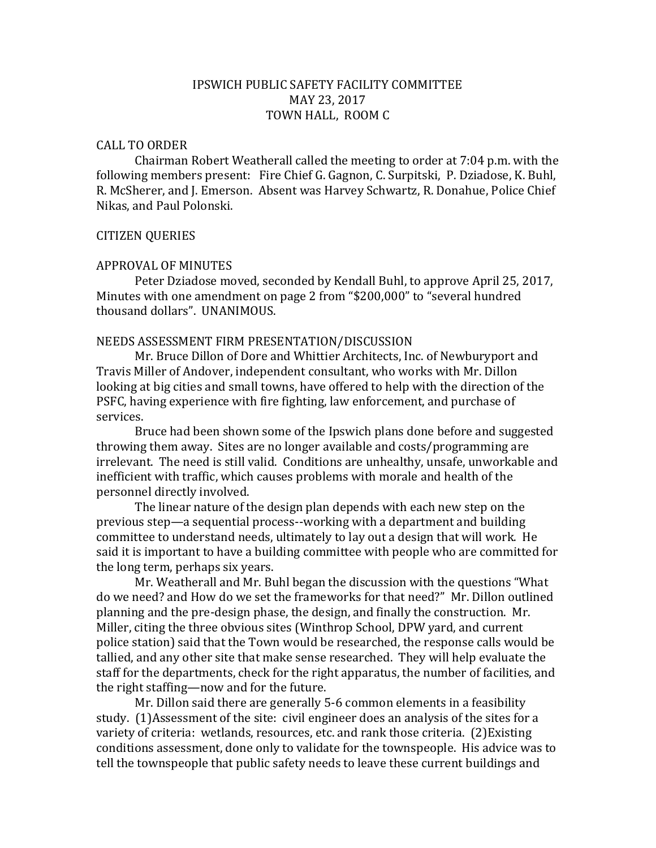# IPSWICH PUBLIC SAFETY FACILITY COMMITTEE MAY 23, 2017 TOWN HALL, ROOM C

### CALL TO ORDER

Chairman Robert Weatherall called the meeting to order at 7:04 p.m. with the following members present: Fire Chief G. Gagnon, C. Surpitski, P. Dziadose, K. Buhl, R. McSherer, and J. Emerson. Absent was Harvey Schwartz, R. Donahue, Police Chief Nikas, and Paul Polonski.

### CITIZEN QUERIES

#### APPROVAL OF MINUTES

Peter Dziadose moved, seconded by Kendall Buhl, to approve April 25, 2017, Minutes with one amendment on page 2 from "\$200,000" to "several hundred thousand dollars". UNANIMOUS.

#### NEEDS ASSESSMENT FIRM PRESENTATION/DISCUSSION

Mr. Bruce Dillon of Dore and Whittier Architects, Inc. of Newburyport and Travis Miller of Andover, independent consultant, who works with Mr. Dillon looking at big cities and small towns, have offered to help with the direction of the PSFC, having experience with fire fighting, law enforcement, and purchase of services.

Bruce had been shown some of the Ipswich plans done before and suggested throwing them away. Sites are no longer available and costs/programming are irrelevant. The need is still valid. Conditions are unhealthy, unsafe, unworkable and inefficient with traffic, which causes problems with morale and health of the personnel directly involved.

The linear nature of the design plan depends with each new step on the previous step—a sequential process--working with a department and building committee to understand needs, ultimately to lay out a design that will work. He said it is important to have a building committee with people who are committed for the long term, perhaps six years.

Mr. Weatherall and Mr. Buhl began the discussion with the questions "What do we need? and How do we set the frameworks for that need?" Mr. Dillon outlined planning and the pre-design phase, the design, and finally the construction. Mr. Miller, citing the three obvious sites (Winthrop School, DPW yard, and current police station) said that the Town would be researched, the response calls would be tallied, and any other site that make sense researched. They will help evaluate the staff for the departments, check for the right apparatus, the number of facilities, and the right staffing—now and for the future.

Mr. Dillon said there are generally 5-6 common elements in a feasibility study. (1)Assessment of the site: civil engineer does an analysis of the sites for a variety of criteria: wetlands, resources, etc. and rank those criteria. (2)Existing conditions assessment, done only to validate for the townspeople. His advice was to tell the townspeople that public safety needs to leave these current buildings and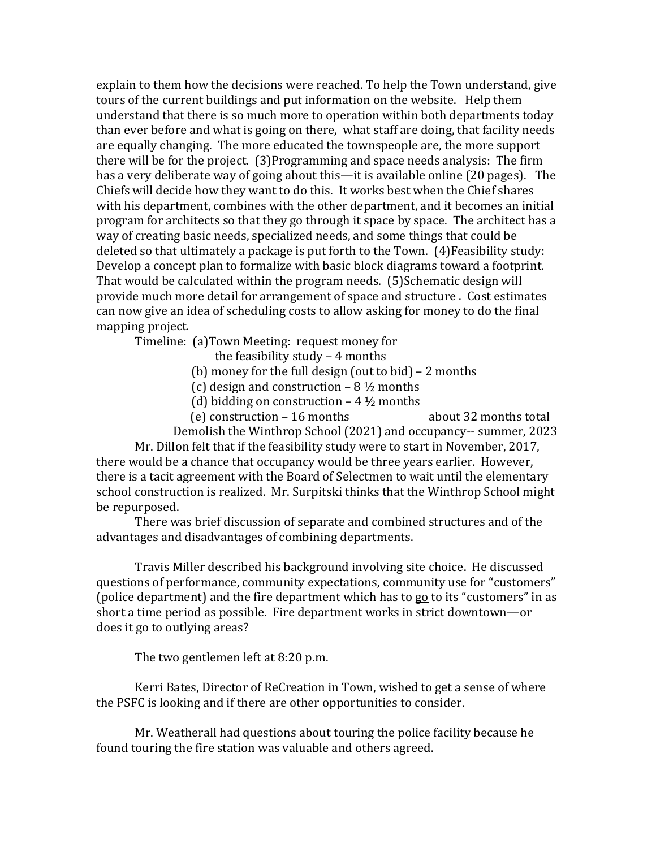explain to them how the decisions were reached. To help the Town understand, give tours of the current buildings and put information on the website. Help them understand that there is so much more to operation within both departments today than ever before and what is going on there, what staff are doing, that facility needs are equally changing. The more educated the townspeople are, the more support there will be for the project. (3)Programming and space needs analysis: The firm has a very deliberate way of going about this—it is available online (20 pages). The Chiefs will decide how they want to do this. It works best when the Chief shares with his department, combines with the other department, and it becomes an initial program for architects so that they go through it space by space. The architect has a way of creating basic needs, specialized needs, and some things that could be deleted so that ultimately a package is put forth to the Town. (4)Feasibility study: Develop a concept plan to formalize with basic block diagrams toward a footprint. That would be calculated within the program needs. (5)Schematic design will provide much more detail for arrangement of space and structure . Cost estimates can now give an idea of scheduling costs to allow asking for money to do the final mapping project.

Timeline: (a)Town Meeting: request money for

the feasibility study – 4 months

- (b) money for the full design (out to bid) 2 months
- (c) design and construction  $-8\frac{1}{2}$  months
- (d) bidding on construction  $-4\frac{1}{2}$  months
- (e) construction 16 months about 32 months total

Demolish the Winthrop School (2021) and occupancy-- summer, 2023

Mr. Dillon felt that if the feasibility study were to start in November, 2017, there would be a chance that occupancy would be three years earlier. However, there is a tacit agreement with the Board of Selectmen to wait until the elementary school construction is realized. Mr. Surpitski thinks that the Winthrop School might be repurposed.

There was brief discussion of separate and combined structures and of the advantages and disadvantages of combining departments.

Travis Miller described his background involving site choice. He discussed questions of performance, community expectations, community use for "customers" (police department) and the fire department which has to go to its "customers" in as short a time period as possible. Fire department works in strict downtown—or does it go to outlying areas?

The two gentlemen left at 8:20 p.m.

Kerri Bates, Director of ReCreation in Town, wished to get a sense of where the PSFC is looking and if there are other opportunities to consider.

Mr. Weatherall had questions about touring the police facility because he found touring the fire station was valuable and others agreed.